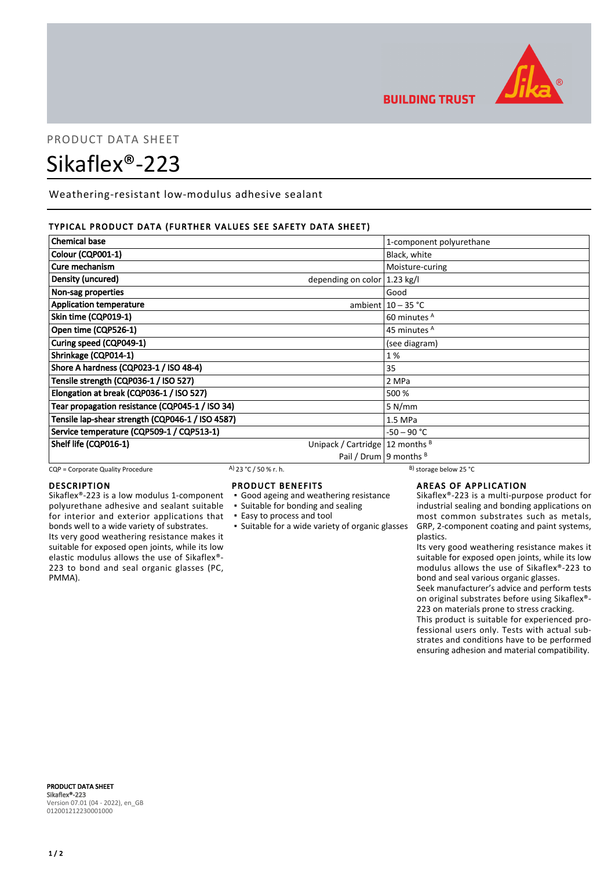

## **BUILDING TRUST**

# PRODUCT DATA SHEET Sikaflex®-223

Weathering-resistant low-modulus adhesive sealant

#### TYPICAL PRODUCT DATA (FURTHER VALUES SEE SAFETY DATA SHEET)

| <b>Chemical base</b>                                         | 1-component polyurethane   |
|--------------------------------------------------------------|----------------------------|
| Colour (CQP001-1)                                            | Black, white               |
| Cure mechanism                                               | Moisture-curing            |
| Density (uncured)<br>depending on color $ 1.23 \text{ kg}/I$ |                            |
| Non-sag properties                                           | Good                       |
| <b>Application temperature</b>                               | ambient $10 - 35$ °C       |
| Skin time (CQP019-1)                                         | 60 minutes A               |
| Open time (CQP526-1)                                         | 45 minutes <sup>A</sup>    |
| Curing speed (CQP049-1)                                      | (see diagram)              |
| Shrinkage (CQP014-1)                                         | 1%                         |
| Shore A hardness (CQP023-1 / ISO 48-4)                       | 35                         |
| Tensile strength (CQP036-1 / ISO 527)                        | 2 MPa                      |
| Elongation at break (CQP036-1 / ISO 527)                     | 500 %                      |
| Tear propagation resistance (CQP045-1 / ISO 34)              | 5 N/mm                     |
| Tensile lap-shear strength (CQP046-1 / ISO 4587)             | 1.5 MPa                    |
| Service temperature (CQP509-1 / CQP513-1)                    | $-50 - 90 °C$              |
| Shelf life (CQP016-1)<br>Unipack / Cartridge   12 months $B$ |                            |
|                                                              | Pail / Drum   9 months $B$ |

CQP = Corporate Quality Procedure A) 23 °C / 50 % r. h.

#### DESCRIPTION

Sikaflex®-223 is a low modulus 1-component polyurethane adhesive and sealant suitable for interior and exterior applications that bonds well to a wide variety of substrates. Its very good weathering resistance makes it suitable for exposed open joints, while its low elastic modulus allows the use of Sikaflex®- 223 to bond and seal organic glasses (PC, PMMA).

#### PRODUCT BENEFITS

- Good ageing and weathering resistance
- Suitable for bonding and sealing
- Easy to process and tool
- 
- **EXECT:** Suitable for a wide variety of organic glasses

#### AREAS OF APPLICATION

Sikaflex®-223 is a multi-purpose product for industrial sealing and bonding applications on most common substrates such as metals, GRP, 2-component coating and paint systems, plastics.

Its very good weathering resistance makes it suitable for exposed open joints, while its low modulus allows the use of Sikaflex®-223 to bond and seal various organic glasses.

Seek manufacturer's advice and perform tests on original substrates before using Sikaflex®- 223 on materials prone to stress cracking.

This product is suitable for experienced professional users only. Tests with actual substrates and conditions have to be performed ensuring adhesion and material compatibility.

PRODUCT DATA SHEET Sikaflex®-223 Version 07.01 (04 - 2022), en\_GB 012001212230001000